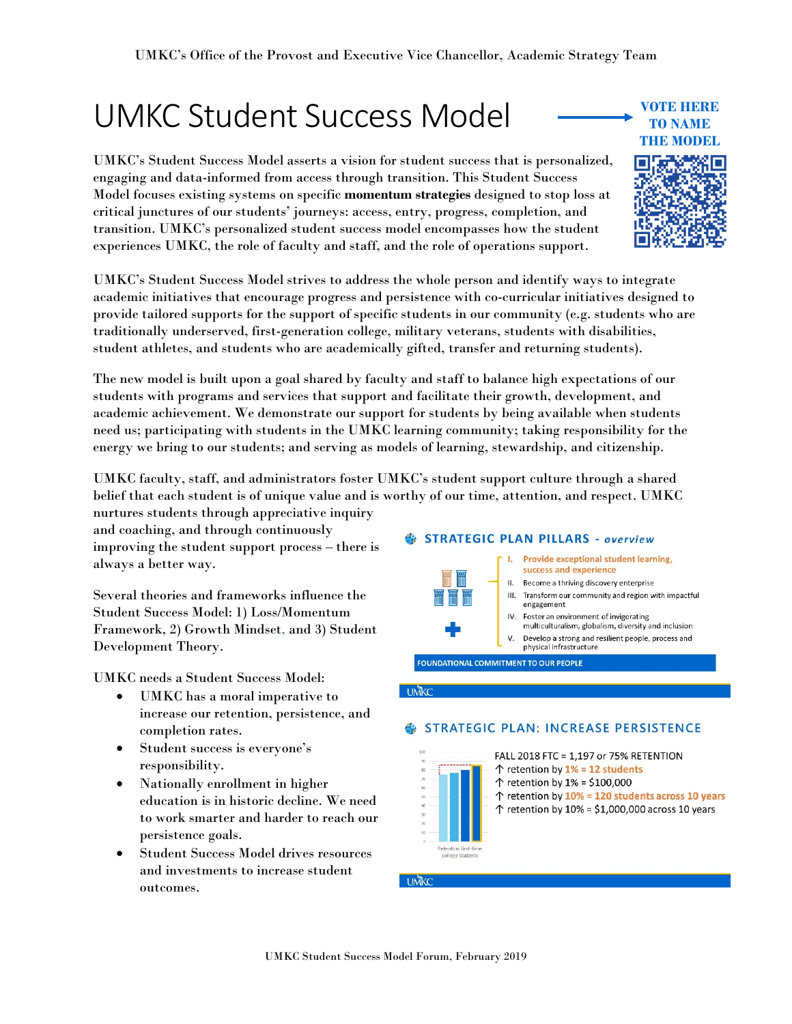# UMKC Student Success Model

UMKC's Student Success Model asserts a vision for student success that is personalized, engaging and data-informed from access through transition. This Student Success Model focuses existing systems on specific **momentum strategies** designed to stop loss at critical junctures of our students' journeys: access, entry, progress, completion, and transition. UMKC's personalized student success model encompasses how the student experiences UMKC, the role of faculty and staff, and the role of operations support.

UMKC's Student Success Model strives to address the whole person and identify ways to integrate academic initiatives that encourage progress and persistence with co-curricular initiatives designed to provide tailored supports for the support of specific students in our community (e.g. students who are traditionally underserved, first-generation college, military veterans, students with disabilities, student athletes, and students who are academically gifted, transfer and returning students).

The new model is built upon a goal shared by faculty and staff to balance high expectations of our students with programs and services that support and facilitate their growth, development, and academic achievement. We demonstrate our support for students by being available when students need us; participating with students in the UMKC learning community; taking responsibility for the energy we bring to our students; and serving as models of learning, stewardship, and citizenship.

UMKC faculty, staff, and administrators foster UMKC's student support culture through a shared belief that each student is of unique value and is worthy of our time, attention, and respect. UMKC nurtures students through appreciative inquiry

and coaching, and through continuously improving the student support process – there is always a better way.

Several theories and frameworks influence the Student Success Model: 1) Loss/Momentum Framework, 2) Growth Mindset, and 3) Student Development Theory.

UMKC needs a Student Success Model:

- UMKC has a moral imperative to increase our retention, persistence, and completion rates.
- Student success is everyone's responsibility.
- Nationally enrollment in higher education is in historic decline. We need to work smarter and harder to reach our persistence goals.
- Student Success Model drives resources and investments to increase student outcomes.

#### STRATEGIC PLAN PILLARS - overview Provide exceptional student learning, success and experience II. Become a thriving discovery enterprise



- IV. Foster an environment of invigorating multiculturalism, globalism, diversity and inclusion
- V. Develop a strong and resilient people, process and<br>physical infrastructure

FOUNDATIONAL COMMITMENT TO OUR PEOPLE

**UMKC** 

### **STRATEGIC PLAN: INCREASE PERSISTENCE**





**VOTE HERE TO NAME THE MODEL**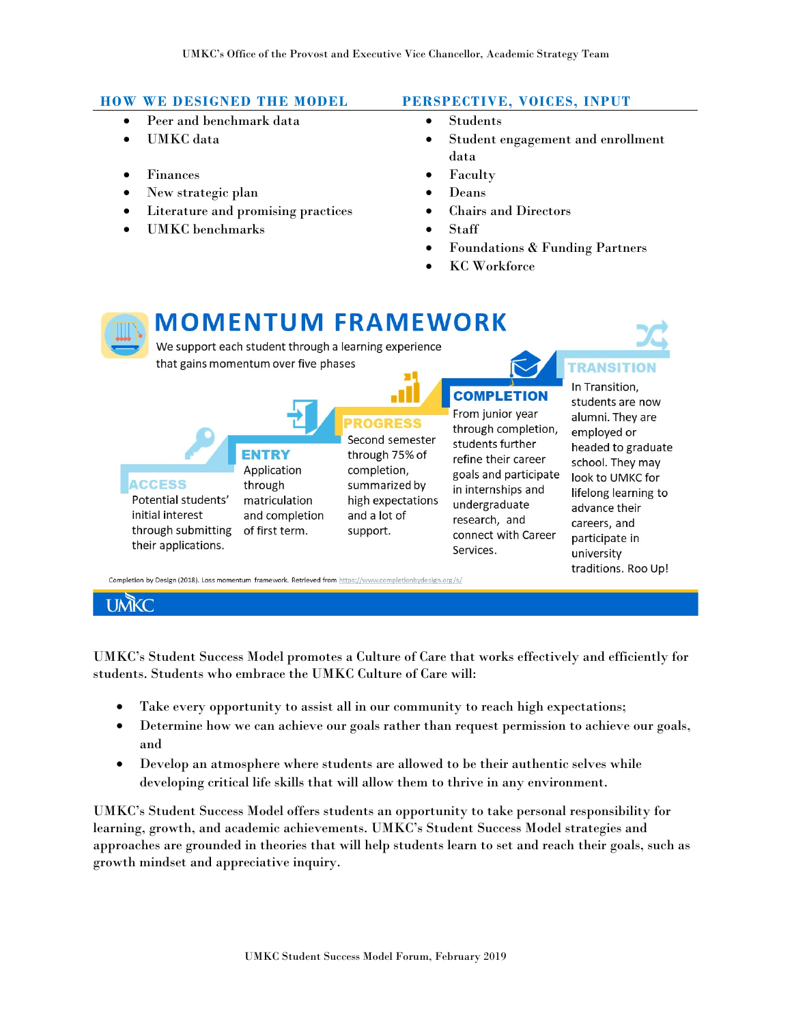# **HOW WE DESIGNED THE MODEL PERSPECTIVE, VOICES, INPUT**

- Peer and benchmark data **•** Students
- 
- Finances Faculty
- New strategic plan Deans
- Literature and promising practices Chairs and Directors
- UMKC benchmarks Staff

- 
- UMKC data Student engagement and enrollment data
	-
	-
	-
	-
	- Foundations & Funding Partners
	- KC Workforce



UMKC's Student Success Model promotes a Culture of Care that works effectively and efficiently for students. Students who embrace the UMKC Culture of Care will:

- Take every opportunity to assist all in our community to reach high expectations;
- Determine how we can achieve our goals rather than request permission to achieve our goals, and
- Develop an atmosphere where students are allowed to be their authentic selves while developing critical life skills that will allow them to thrive in any environment.

UMKC's Student Success Model offers students an opportunity to take personal responsibility for learning, growth, and academic achievements. UMKC's Student Success Model strategies and approaches are grounded in theories that will help students learn to set and reach their goals, such as growth mindset and appreciative inquiry.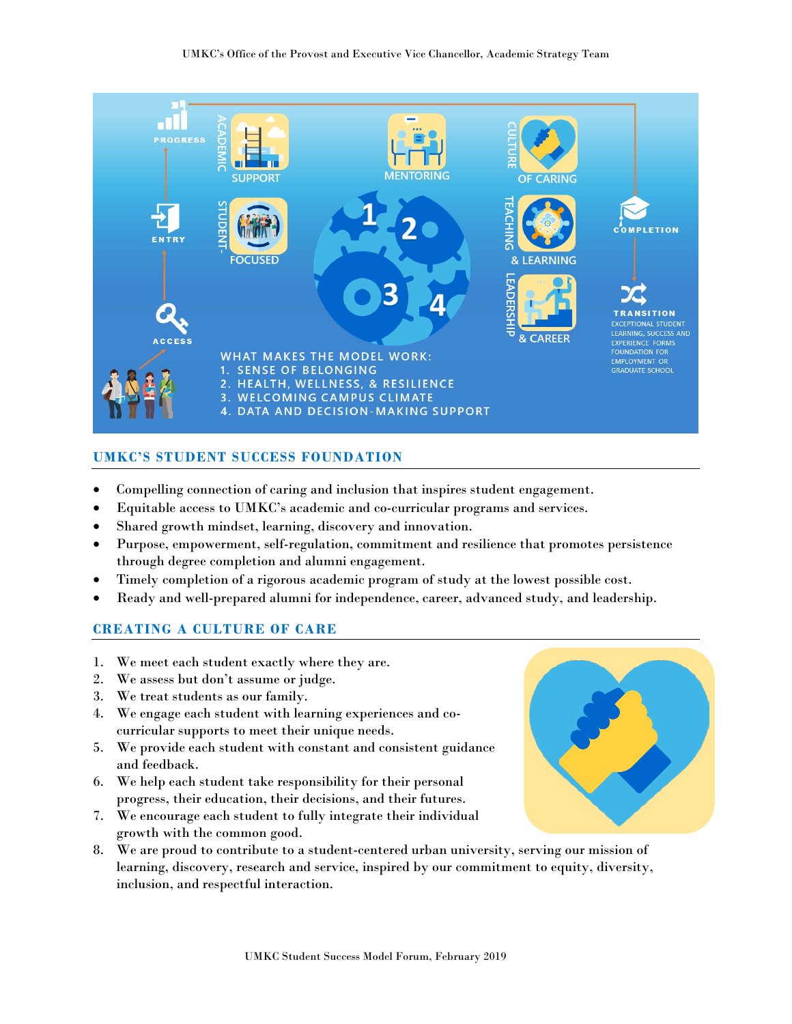

# **UMKC'S STUDENT SUCCESS FOUNDATION**

- Compelling connection of caring and inclusion that inspires student engagement.
- Equitable access to UMKC's academic and co-curricular programs and services.
- Shared growth mindset, learning, discovery and innovation.
- Purpose, empowerment, self-regulation, commitment and resilience that promotes persistence through degree completion and alumni engagement.
- Timely completion of a rigorous academic program of study at the lowest possible cost.
- Ready and well-prepared alumni for independence, career, advanced study, and leadership.

# **CREATING A CULTURE OF CARE**

- 1. We meet each student exactly where they are.
- 2. We assess but don't assume or judge.
- 3. We treat students as our family.
- 4. We engage each student with learning experiences and cocurricular supports to meet their unique needs.
- 5. We provide each student with constant and consistent guidance and feedback.
- 6. We help each student take responsibility for their personal progress, their education, their decisions, and their futures.
- 7. We encourage each student to fully integrate their individual growth with the common good.
- 8. We are proud to contribute to a student-centered urban university, serving our mission of learning, discovery, research and service, inspired by our commitment to equity, diversity, inclusion, and respectful interaction.